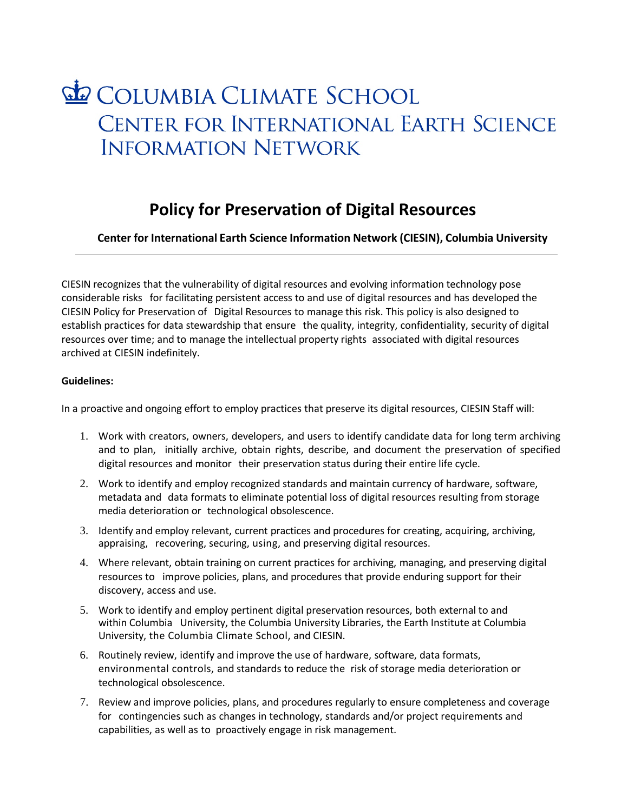## COLUMBIA CLIMATE SCHOOL CENTER FOR INTERNATIONAL EARTH SCIENCE **INFORMATION NETWORK**

## **Policy for Preservation of Digital Resources**

**Center for International Earth Science Information Network (CIESIN), Columbia University**

CIESIN recognizes that the vulnerability of digital resources and evolving information technology pose considerable risks for facilitating persistent access to and use of digital resources and has developed the CIESIN Policy for Preservation of Digital Resources to manage this risk. This policy is also designed to establish practices for data stewardship that ensure the quality, integrity, confidentiality, security of digital resources over time; and to manage the intellectual property rights associated with digital resources archived at CIESIN indefinitely.

## **Guidelines:**

In a proactive and ongoing effort to employ practices that preserve its digital resources, CIESIN Staff will:

- 1. Work with creators, owners, developers, and users to identify candidate data for long term archiving and to plan, initially archive, obtain rights, describe, and document the preservation of specified digital resources and monitor their preservation status during their entire life cycle.
- 2. Work to identify and employ recognized standards and maintain currency of hardware, software, metadata and data formats to eliminate potential loss of digital resources resulting from storage media deterioration or technological obsolescence.
- 3. Identify and employ relevant, current practices and procedures for creating, acquiring, archiving, appraising, recovering, securing, using, and preserving digital resources.
- 4. Where relevant, obtain training on current practices for archiving, managing, and preserving digital resources to improve policies, plans, and procedures that provide enduring support for their discovery, access and use.
- 5. Work to identify and employ pertinent digital preservation resources, both external to and within Columbia University, the Columbia University Libraries, the Earth Institute at Columbia University, the Columbia Climate School, and CIESIN.
- 6. Routinely review, identify and improve the use of hardware, software, data formats, environmental controls, and standards to reduce the risk of storage media deterioration or technological obsolescence.
- 7. Review and improve policies, plans, and procedures regularly to ensure completeness and coverage for contingencies such as changes in technology, standards and/or project requirements and capabilities, as well as to proactively engage in risk management.